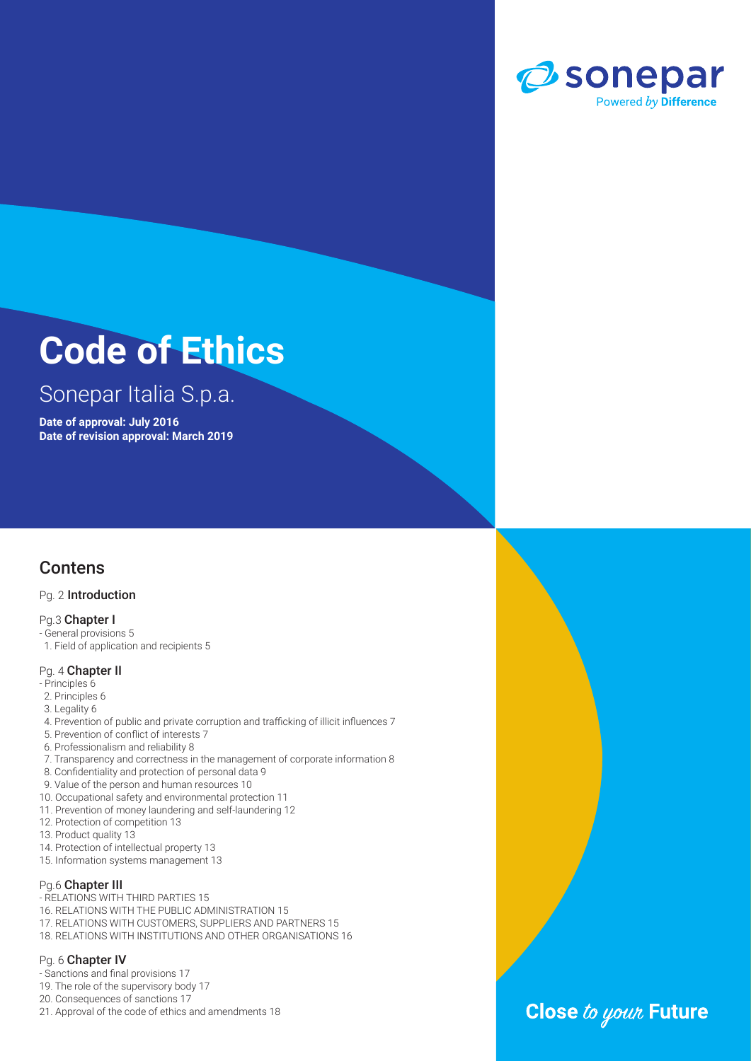

## Sonepar Italia S.p.a.

**Date of approval: July 2016 Date of revision approval: March 2019**

### **Contens**

#### Pg. 2 Introduction

#### Pg.3 Chapter I

- General provisions 5
- 1. Field of application and recipients 5

#### Pg. 4 Chapter II

- Principles 6
- 2. Principles 6
- 3. Legality 6
- 4. Prevention of public and private corruption and trafficking of illicit influences 7
- 5. Prevention of conflict of interests 7
- 6. Professionalism and reliability 8
- 7. Transparency and correctness in the management of corporate information 8
- 8. Confidentiality and protection of personal data 9
- 9. Value of the person and human resources 10
- 10. Occupational safety and environmental protection 11
- 11. Prevention of money laundering and self-laundering 12
- 12. Protection of competition 13
- 13. Product quality 13
- 14. Protection of intellectual property 13
- 15. Information systems management 13

#### Pg.6 Chapter III

- RELATIONS WITH THIRD PARTIES 15
- 16. RELATIONS WITH THE PUBLIC ADMINISTRATION 15
- 17. RELATIONS WITH CUSTOMERS, SUPPLIERS AND PARTNERS 15
- 18. RELATIONS WITH INSTITUTIONS AND OTHER ORGANISATIONS 16

#### Pg. 6 Chapter IV

- Sanctions and final provisions 17
- 19. The role of the supervisory body 17
- 20. Consequences of sanctions 17
- 21. Approval of the code of ethics and amendments 18

## Close to your Future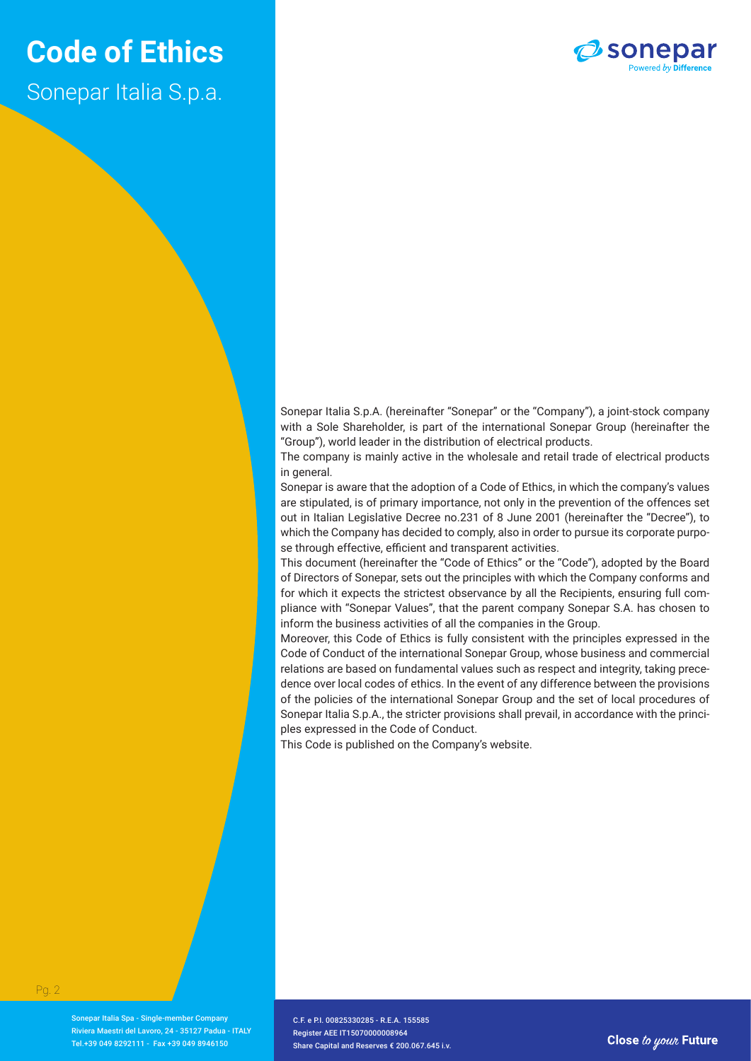## **Code of Ethics** Sonepar Italia S.p.a.



Sonepar Italia S.p.A. (hereinafter "Sonepar" or the "Company"), a joint-stock company with a Sole Shareholder, is part of the international Sonepar Group (hereinafter the "Group"), world leader in the distribution of electrical products.

The company is mainly active in the wholesale and retail trade of electrical products in general.

Sonepar is aware that the adoption of a Code of Ethics, in which the company's values are stipulated, is of primary importance, not only in the prevention of the offences set out in Italian Legislative Decree no.231 of 8 June 2001 (hereinafter the "Decree"), to which the Company has decided to comply, also in order to pursue its corporate purpose through effective, efficient and transparent activities.

This document (hereinafter the "Code of Ethics" or the "Code"), adopted by the Board of Directors of Sonepar, sets out the principles with which the Company conforms and for which it expects the strictest observance by all the Recipients, ensuring full compliance with "Sonepar Values", that the parent company Sonepar S.A. has chosen to inform the business activities of all the companies in the Group.

Moreover, this Code of Ethics is fully consistent with the principles expressed in the Code of Conduct of the international Sonepar Group, whose business and commercial relations are based on fundamental values such as respect and integrity, taking precedence over local codes of ethics. In the event of any difference between the provisions of the policies of the international Sonepar Group and the set of local procedures of Sonepar Italia S.p.A., the stricter provisions shall prevail, in accordance with the principles expressed in the Code of Conduct.

This Code is published on the Company's website.

Sonepar Italia Spa - Single-member Company Riviera Maestri del Lavoro, 24 - 35127 Padua - ITALY Tel.+39 049 8292111 - Fax +39 049 8946150

C.F. e P.I. 00825330285 - R.F.A. 155585 Register AEE IT15070000008964 Share Capital and Reserves € 200.067.645 i.v.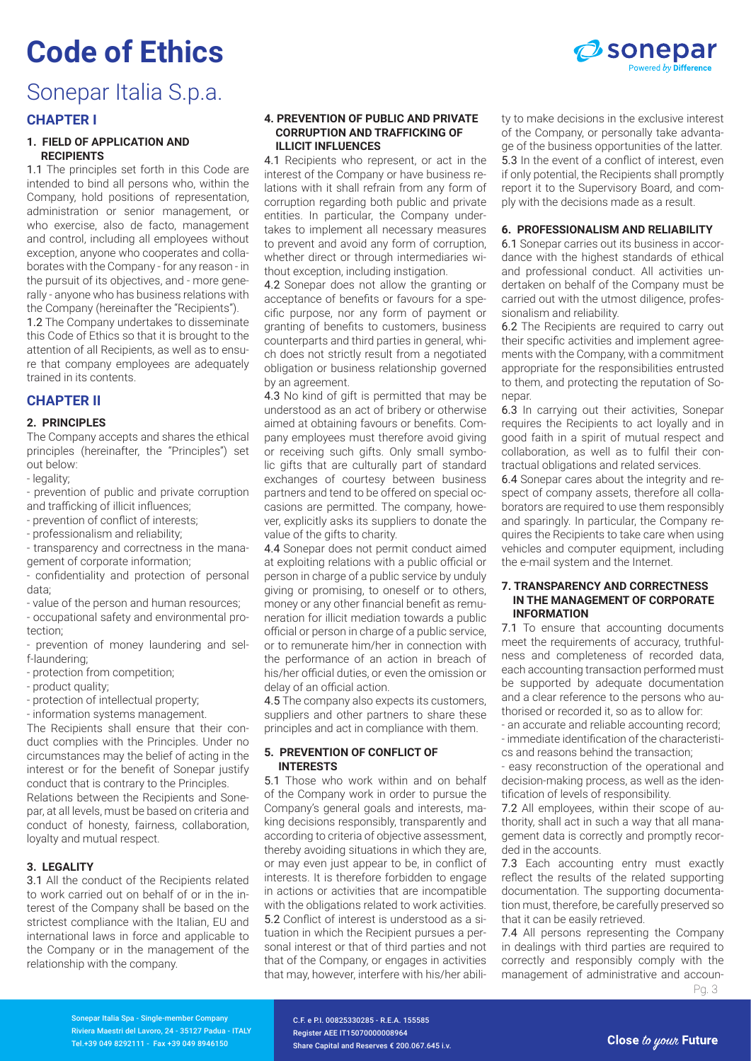

### Sonepar Italia S.p.a.

#### **CHAPTER I**

#### **1. FIELD OF APPLICATION AND RECIPIENTS**

1.1 The principles set forth in this Code are intended to bind all persons who, within the Company, hold positions of representation, administration or senior management, or who exercise, also de facto, management and control, including all employees without exception, anyone who cooperates and collaborates with the Company - for any reason - in the pursuit of its objectives, and - more generally - anyone who has business relations with the Company (hereinafter the "Recipients"). 1.2 The Company undertakes to disseminate this Code of Ethics so that it is brought to the

attention of all Recipients, as well as to ensure that company employees are adequately trained in its contents.

#### **CHAPTER II**

#### **2. PRINCIPLES**

The Company accepts and shares the ethical principles (hereinafter, the "Principles") set out below:

- legality;
- prevention of public and private corruption and trafficking of illicit influences;
- prevention of conflict of interests;

- professionalism and reliability;

- transparency and correctness in the management of corporate information;

- confidentiality and protection of personal data;

- value of the person and human resources;

- occupational safety and environmental protection;

- prevention of money laundering and self-laundering;

- protection from competition;

- product quality;

- protection of intellectual property;

- information systems management.

The Recipients shall ensure that their conduct complies with the Principles. Under no circumstances may the belief of acting in the interest or for the benefit of Sonepar justify conduct that is contrary to the Principles. Relations between the Recipients and Sonepar, at all levels, must be based on criteria and conduct of honesty, fairness, collaboration, loyalty and mutual respect.

#### **3. LEGALITY**

3.1 All the conduct of the Recipients related to work carried out on behalf of or in the interest of the Company shall be based on the strictest compliance with the Italian, EU and international laws in force and applicable to the Company or in the management of the relationship with the company.

#### **4. PREVENTION OF PUBLIC AND PRIVATE CORRUPTION AND TRAFFICKING OF ILLICIT INFLUENCES**

4.1 Recipients who represent, or act in the interest of the Company or have business relations with it shall refrain from any form of corruption regarding both public and private entities. In particular, the Company undertakes to implement all necessary measures to prevent and avoid any form of corruption, whether direct or through intermediaries without exception, including instigation.

4.2 Sonepar does not allow the granting or acceptance of benefits or favours for a specific purpose, nor any form of payment or granting of benefits to customers, business counterparts and third parties in general, which does not strictly result from a negotiated obligation or business relationship governed by an agreement.

4.3 No kind of gift is permitted that may be understood as an act of bribery or otherwise aimed at obtaining favours or benefits. Company employees must therefore avoid giving or receiving such gifts. Only small symbolic gifts that are culturally part of standard exchanges of courtesy between business partners and tend to be offered on special occasions are permitted. The company, however, explicitly asks its suppliers to donate the value of the gifts to charity.

4.4 Sonepar does not permit conduct aimed at exploiting relations with a public official or person in charge of a public service by unduly giving or promising, to oneself or to others, money or any other financial benefit as remuneration for illicit mediation towards a public official or person in charge of a public service, or to remunerate him/her in connection with the performance of an action in breach of his/her official duties, or even the omission or delay of an official action.

4.5 The company also expects its customers, suppliers and other partners to share these principles and act in compliance with them.

#### **5. PREVENTION OF CONFLICT OF INTERESTS**

5.1 Those who work within and on behalf of the Company work in order to pursue the Company's general goals and interests, making decisions responsibly, transparently and according to criteria of objective assessment, thereby avoiding situations in which they are, or may even just appear to be, in conflict of interests. It is therefore forbidden to engage in actions or activities that are incompatible with the obligations related to work activities. 5.2 Conflict of interest is understood as a situation in which the Recipient pursues a personal interest or that of third parties and not that of the Company, or engages in activities that may, however, interfere with his/her ability to make decisions in the exclusive interest of the Company, or personally take advantage of the business opportunities of the latter. 5.3 In the event of a conflict of interest, even if only potential, the Recipients shall promptly report it to the Supervisory Board, and comply with the decisions made as a result.

#### **6. PROFESSIONALISM AND RELIABILITY**

6.1 Sonepar carries out its business in accordance with the highest standards of ethical and professional conduct. All activities undertaken on behalf of the Company must be carried out with the utmost diligence, professionalism and reliability.

6.2 The Recipients are required to carry out their specific activities and implement agreements with the Company, with a commitment appropriate for the responsibilities entrusted to them, and protecting the reputation of Sonepar.

6.3 In carrying out their activities, Sonepar requires the Recipients to act loyally and in good faith in a spirit of mutual respect and collaboration, as well as to fulfil their contractual obligations and related services.

6.4 Sonepar cares about the integrity and respect of company assets, therefore all collaborators are required to use them responsibly and sparingly. In particular, the Company requires the Recipients to take care when using vehicles and computer equipment, including the e-mail system and the Internet.

#### **7. TRANSPARENCY AND CORRECTNESS IN THE MANAGEMENT OF CORPORATE INFORMATION**

7.1 To ensure that accounting documents meet the requirements of accuracy, truthfulness and completeness of recorded data, each accounting transaction performed must be supported by adequate documentation and a clear reference to the persons who authorised or recorded it, so as to allow for:

- an accurate and reliable accounting record; - immediate identification of the characteristics and reasons behind the transaction;

- easy reconstruction of the operational and decision-making process, as well as the identification of levels of responsibility.

7.2 All employees, within their scope of authority, shall act in such a way that all management data is correctly and promptly recorded in the accounts.

7.3 Each accounting entry must exactly reflect the results of the related supporting documentation. The supporting documentation must, therefore, be carefully preserved so that it can be easily retrieved.

Pg. 3 7.4 All persons representing the Company in dealings with third parties are required to correctly and responsibly comply with the management of administrative and accoun-

Sonepar Italia Spa - Single-member Company Riviera Maestri del Lavoro, 24 - 35127 Padua - ITALY Tel.+39 049 8292111 - Fax +39 049 8946150

C.F. e P.I. 00825330285 - R.E.A. 155585 Register AEE IT15070000008964 Share Capital and Reserves € 200.067.645 i.v.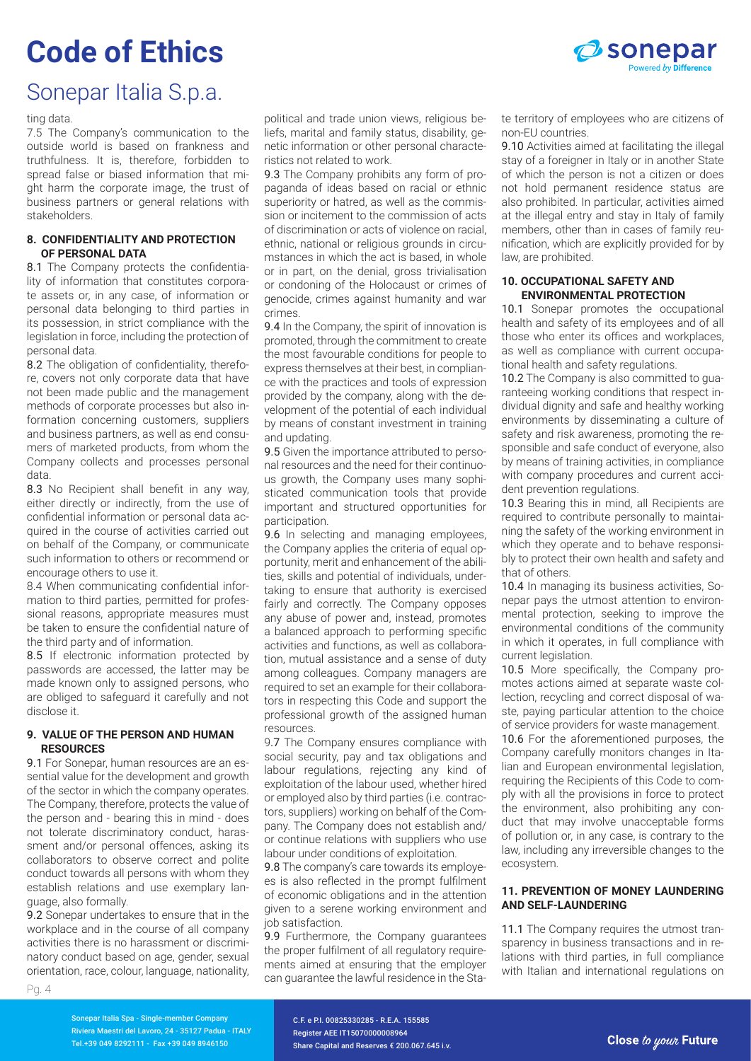

### Sonepar Italia S.p.a.

#### ting data.

7.5 The Company's communication to the outside world is based on frankness and truthfulness. It is, therefore, forbidden to spread false or biased information that might harm the corporate image, the trust of business partners or general relations with stakeholders.

#### **8. CONFIDENTIALITY AND PROTECTION OF PERSONAL DATA**

8.1 The Company protects the confidentiality of information that constitutes corporate assets or, in any case, of information or personal data belonging to third parties in its possession, in strict compliance with the legislation in force, including the protection of personal data.

8.2 The obligation of confidentiality, therefore, covers not only corporate data that have not been made public and the management methods of corporate processes but also information concerning customers, suppliers and business partners, as well as end consumers of marketed products, from whom the Company collects and processes personal data.

8.3 No Recipient shall benefit in any way, either directly or indirectly, from the use of confidential information or personal data acquired in the course of activities carried out on behalf of the Company, or communicate such information to others or recommend or encourage others to use it.

8.4 When communicating confidential information to third parties, permitted for professional reasons, appropriate measures must be taken to ensure the confidential nature of the third party and of information.

8.5 If electronic information protected by passwords are accessed, the latter may be made known only to assigned persons, who are obliged to safeguard it carefully and not disclose it.

#### **9. VALUE OF THE PERSON AND HUMAN RESOURCES**

9.1 For Sonepar, human resources are an essential value for the development and growth of the sector in which the company operates. The Company, therefore, protects the value of the person and - bearing this in mind - does not tolerate discriminatory conduct, harassment and/or personal offences, asking its collaborators to observe correct and polite conduct towards all persons with whom they establish relations and use exemplary language, also formally.

9.2 Sonepar undertakes to ensure that in the workplace and in the course of all company activities there is no harassment or discriminatory conduct based on age, gender, sexual orientation, race, colour, language, nationality,

political and trade union views, religious beliefs, marital and family status, disability, genetic information or other personal characteristics not related to work.

9.3 The Company prohibits any form of propaganda of ideas based on racial or ethnic superiority or hatred, as well as the commission or incitement to the commission of acts of discrimination or acts of violence on racial, ethnic, national or religious grounds in circumstances in which the act is based, in whole or in part, on the denial, gross trivialisation or condoning of the Holocaust or crimes of genocide, crimes against humanity and war crimes.

9.4 In the Company, the spirit of innovation is promoted, through the commitment to create the most favourable conditions for people to express themselves at their best, in compliance with the practices and tools of expression provided by the company, along with the development of the potential of each individual by means of constant investment in training and updating.

9.5 Given the importance attributed to personal resources and the need for their continuous growth, the Company uses many sophisticated communication tools that provide important and structured opportunities for participation.

9.6 In selecting and managing employees, the Company applies the criteria of equal opportunity, merit and enhancement of the abilities, skills and potential of individuals, undertaking to ensure that authority is exercised fairly and correctly. The Company opposes any abuse of power and, instead, promotes a balanced approach to performing specific activities and functions, as well as collaboration, mutual assistance and a sense of duty among colleagues. Company managers are required to set an example for their collaborators in respecting this Code and support the professional growth of the assigned human resources.

9.7 The Company ensures compliance with social security, pay and tax obligations and labour regulations, rejecting any kind of exploitation of the labour used, whether hired or employed also by third parties (i.e. contractors, suppliers) working on behalf of the Company. The Company does not establish and/ or continue relations with suppliers who use labour under conditions of exploitation.

9.8 The company's care towards its employees is also reflected in the prompt fulfilment of economic obligations and in the attention given to a serene working environment and job satisfaction.

9.9 Furthermore, the Company guarantees the proper fulfilment of all regulatory requirements aimed at ensuring that the employer can guarantee the lawful residence in the State territory of employees who are citizens of non-EU countries.

9.10 Activities aimed at facilitating the illegal stay of a foreigner in Italy or in another State of which the person is not a citizen or does not hold permanent residence status are also prohibited. In particular, activities aimed at the illegal entry and stay in Italy of family members, other than in cases of family reunification, which are explicitly provided for by law, are prohibited.

#### **10. OCCUPATIONAL SAFETY AND ENVIRONMENTAL PROTECTION**

10.1 Sonepar promotes the occupational health and safety of its employees and of all those who enter its offices and workplaces, as well as compliance with current occupational health and safety regulations.

10.2 The Company is also committed to quaranteeing working conditions that respect individual dignity and safe and healthy working environments by disseminating a culture of safety and risk awareness, promoting the responsible and safe conduct of everyone, also by means of training activities, in compliance with company procedures and current accident prevention regulations.

10.3 Bearing this in mind, all Recipients are required to contribute personally to maintaining the safety of the working environment in which they operate and to behave responsibly to protect their own health and safety and that of others.

10.4 In managing its business activities, Sonepar pays the utmost attention to environmental protection, seeking to improve the environmental conditions of the community in which it operates, in full compliance with current legislation.

10.5 More specifically, the Company promotes actions aimed at separate waste collection, recycling and correct disposal of waste, paying particular attention to the choice of service providers for waste management. 10.6 For the aforementioned purposes, the Company carefully monitors changes in Ita-

lian and European environmental legislation, requiring the Recipients of this Code to comply with all the provisions in force to protect the environment, also prohibiting any conduct that may involve unacceptable forms of pollution or, in any case, is contrary to the law, including any irreversible changes to the ecosystem.

#### **11. PREVENTION OF MONEY LAUNDERING AND SELF-LAUNDERING**

11.1 The Company requires the utmost transparency in business transactions and in relations with third parties, in full compliance with Italian and international regulations on

Pg. 4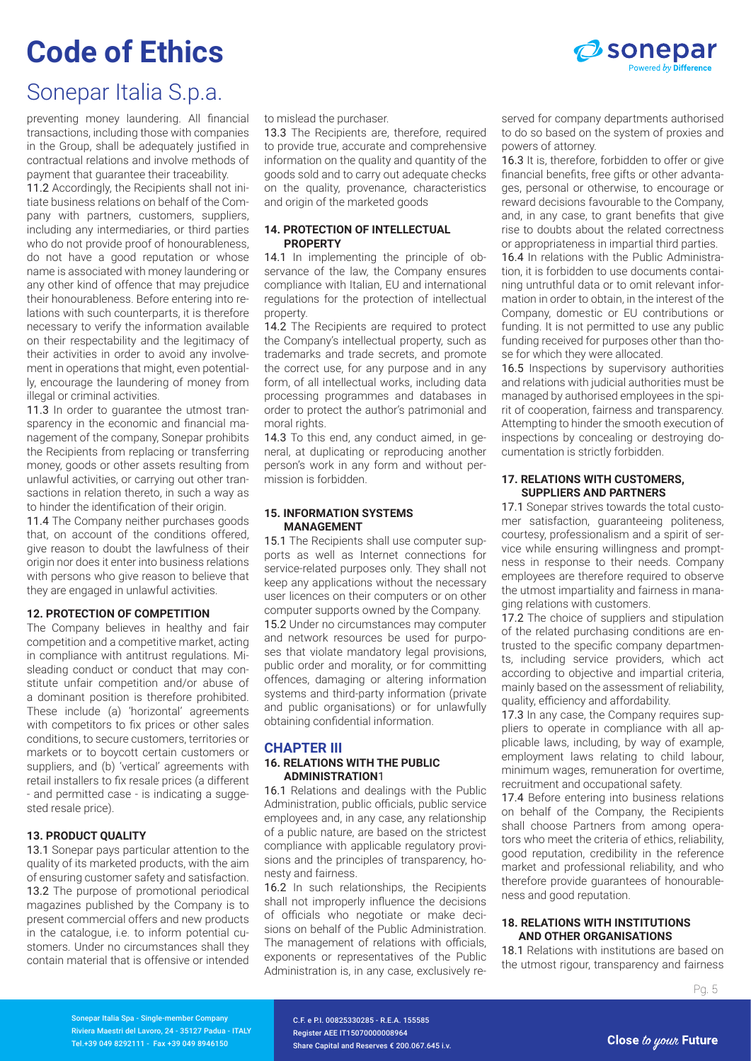

### Sonepar Italia S.p.a.

preventing money laundering. All financial transactions, including those with companies in the Group, shall be adequately justified in contractual relations and involve methods of payment that guarantee their traceability.

11.2 Accordingly, the Recipients shall not initiate business relations on behalf of the Company with partners, customers, suppliers, including any intermediaries, or third parties who do not provide proof of honourableness, do not have a good reputation or whose name is associated with money laundering or any other kind of offence that may prejudice their honourableness. Before entering into relations with such counterparts, it is therefore necessary to verify the information available on their respectability and the legitimacy of their activities in order to avoid any involvement in operations that might, even potentially, encourage the laundering of money from illegal or criminal activities.

11.3 In order to quarantee the utmost transparency in the economic and financial management of the company, Sonepar prohibits the Recipients from replacing or transferring money, goods or other assets resulting from unlawful activities, or carrying out other transactions in relation thereto, in such a way as to hinder the identification of their origin.

11.4 The Company neither purchases goods that, on account of the conditions offered, give reason to doubt the lawfulness of their origin nor does it enter into business relations with persons who give reason to believe that they are engaged in unlawful activities.

#### **12. PROTECTION OF COMPETITION**

The Company believes in healthy and fair competition and a competitive market, acting in compliance with antitrust regulations. Misleading conduct or conduct that may constitute unfair competition and/or abuse of a dominant position is therefore prohibited. These include (a) 'horizontal' agreements with competitors to fix prices or other sales conditions, to secure customers, territories or markets or to boycott certain customers or suppliers, and (b) 'vertical' agreements with retail installers to fix resale prices (a different - and permitted case - is indicating a suggested resale price).

#### **13. PRODUCT QUALITY**

13.1 Sonepar pays particular attention to the quality of its marketed products, with the aim of ensuring customer safety and satisfaction. 13.2 The purpose of promotional periodical magazines published by the Company is to present commercial offers and new products in the catalogue, i.e. to inform potential customers. Under no circumstances shall they contain material that is offensive or intended

#### to mislead the purchaser.

13.3 The Recipients are, therefore, required to provide true, accurate and comprehensive information on the quality and quantity of the goods sold and to carry out adequate checks on the quality, provenance, characteristics and origin of the marketed goods

#### **14. PROTECTION OF INTELLECTUAL PROPERTY**

14.1 In implementing the principle of observance of the law, the Company ensures compliance with Italian, EU and international regulations for the protection of intellectual property.

14.2 The Recipients are required to protect the Company's intellectual property, such as trademarks and trade secrets, and promote the correct use, for any purpose and in any form, of all intellectual works, including data processing programmes and databases in order to protect the author's patrimonial and moral rights.

14.3 To this end, any conduct aimed, in general, at duplicating or reproducing another person's work in any form and without permission is forbidden.

#### **15. INFORMATION SYSTEMS MANAGEMENT**

15.1 The Recipients shall use computer supports as well as Internet connections for service-related purposes only. They shall not keep any applications without the necessary user licences on their computers or on other computer supports owned by the Company. 15.2 Under no circumstances may computer and network resources be used for purposes that violate mandatory legal provisions, public order and morality, or for committing offences, damaging or altering information systems and third-party information (private and public organisations) or for unlawfully obtaining confidential information.

#### **CHAPTER III 16. RELATIONS WITH THE PUBLIC ADMINISTRATION**1

16.1 Relations and dealings with the Public Administration, public officials, public service employees and, in any case, any relationship of a public nature, are based on the strictest compliance with applicable regulatory provisions and the principles of transparency, honesty and fairness.

16.2 In such relationships, the Recipients shall not improperly influence the decisions of officials who negotiate or make decisions on behalf of the Public Administration. The management of relations with officials, exponents or representatives of the Public Administration is, in any case, exclusively re-

served for company departments authorised to do so based on the system of proxies and powers of attorney.

16.3 It is, therefore, forbidden to offer or give financial benefits, free gifts or other advantages, personal or otherwise, to encourage or reward decisions favourable to the Company, and, in any case, to grant benefits that give rise to doubts about the related correctness or appropriateness in impartial third parties.

16.4 In relations with the Public Administration, it is forbidden to use documents containing untruthful data or to omit relevant information in order to obtain, in the interest of the Company, domestic or EU contributions or funding. It is not permitted to use any public funding received for purposes other than those for which they were allocated.

16.5 Inspections by supervisory authorities and relations with judicial authorities must be managed by authorised employees in the spirit of cooperation, fairness and transparency. Attempting to hinder the smooth execution of inspections by concealing or destroying documentation is strictly forbidden.

#### **17. RELATIONS WITH CUSTOMERS, SUPPLIERS AND PARTNERS**

17.1 Sonepar strives towards the total customer satisfaction, guaranteeing politeness, courtesy, professionalism and a spirit of service while ensuring willingness and promptness in response to their needs. Company employees are therefore required to observe the utmost impartiality and fairness in managing relations with customers.

17.2 The choice of suppliers and stipulation of the related purchasing conditions are entrusted to the specific company departments, including service providers, which act according to objective and impartial criteria, mainly based on the assessment of reliability, quality, efficiency and affordability.

17.3 In any case, the Company requires suppliers to operate in compliance with all applicable laws, including, by way of example, employment laws relating to child labour, minimum wages, remuneration for overtime, recruitment and occupational safety.

17.4 Before entering into business relations on behalf of the Company, the Recipients shall choose Partners from among operators who meet the criteria of ethics, reliability, good reputation, credibility in the reference market and professional reliability, and who therefore provide guarantees of honourableness and good reputation.

#### **18. RELATIONS WITH INSTITUTIONS AND OTHER ORGANISATIONS**

18.1 Relations with institutions are based on the utmost rigour, transparency and fairness

Pg. 5

Sonepar Italia Spa - Single-member Company Riviera Maestri del Lavoro, 24 - 35127 Padua - ITALY Tel.+39 049 8292111 - Fax +39 049 8946150

C.F. e P.I. 00825330285 - R.E.A. 155585 Register AEE IT15070000008964 Share Capital and Reserves € 200.067.645 i.v.